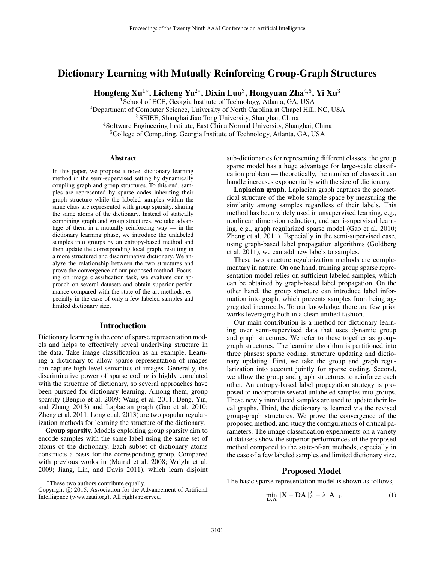# Dictionary Learning with Mutually Reinforcing Group-Graph Structures

Hongteng Xu $^{1*}$ , Licheng Yu $^{2*}$ , Dixin Luo $^3$ , Hongyuan Zha $^{4,5}$ , Yi Xu $^3$ 

<sup>1</sup> School of ECE, Georgia Institute of Technology, Atlanta, GA, USA <sup>2</sup>Department of Computer Science, University of North Carolina at Chapel Hill, NC, USA

<sup>3</sup>SEIEE, Shanghai Jiao Tong University, Shanghai, China

<sup>4</sup>Software Engineering Institute, East China Normal University, Shanghai, China

<sup>5</sup>College of Computing, Georgia Institute of Technology, Atlanta, GA, USA

## Abstract

In this paper, we propose a novel dictionary learning method in the semi-supervised setting by dynamically coupling graph and group structures. To this end, samples are represented by sparse codes inheriting their graph structure while the labeled samples within the same class are represented with group sparsity, sharing the same atoms of the dictionary. Instead of statically combining graph and group structures, we take advantage of them in a mutually reinforcing way — in the dictionary learning phase, we introduce the unlabeled samples into groups by an entropy-based method and then update the corresponding local graph, resulting in a more structured and discriminative dictionary. We analyze the relationship between the two structures and prove the convergence of our proposed method. Focusing on image classification task, we evaluate our approach on several datasets and obtain superior performance compared with the state-of-the-art methods, especially in the case of only a few labeled samples and limited dictionary size.

## Introduction

Dictionary learning is the core of sparse representation models and helps to effectively reveal underlying structure in the data. Take image classification as an example. Learning a dictionary to allow sparse representation of images can capture high-level semantics of images. Generally, the discriminative power of sparse coding is highly correlated with the structure of dictionary, so several approaches have been pursued for dictionary learning. Among them, group sparsity (Bengio et al. 2009; Wang et al. 2011; Deng, Yin, and Zhang 2013) and Laplacian graph (Gao et al. 2010; Zheng et al. 2011; Long et al. 2013) are two popular regularization methods for learning the structure of the dictionary.

Group sparsity. Models exploiting group sparsity aim to encode samples with the same label using the same set of atoms of the dictionary. Each subset of dictionary atoms constructs a basis for the corresponding group. Compared with previous works in (Mairal et al. 2008; Wright et al. 2009; Jiang, Lin, and Davis 2011), which learn disjoint

sub-dictionaries for representing different classes, the group sparse model has a huge advantage for large-scale classification problem — theoretically, the number of classes it can handle increases exponentially with the size of dictionary.

Laplacian graph. Laplacian graph captures the geometrical structure of the whole sample space by measuring the similarity among samples regardless of their labels. This method has been widely used in unsupervised learning, e.g., nonlinear dimension reduction, and semi-supervised learning, e.g., graph regularized sparse model (Gao et al. 2010; Zheng et al. 2011). Especially in the semi-supervised case, using graph-based label propagation algorithms (Goldberg et al. 2011), we can add new labels to samples.

These two structure regularization methods are complementary in nature: On one hand, training group sparse representation model relies on sufficient labeled samples, which can be obtained by graph-based label propagation. On the other hand, the group structure can introduce label information into graph, which prevents samples from being aggregated incorrectly. To our knowledge, there are few prior works leveraging both in a clean unified fashion.

Our main contribution is a method for dictionary learning over semi-supervised data that uses dynamic group and graph structures. We refer to these together as groupgraph structures. The learning algorithm is partitioned into three phases: sparse coding, structure updating and dictionary updating. First, we take the group and graph regularization into account jointly for sparse coding. Second, we allow the group and graph structures to reinforce each other. An entropy-based label propagation strategy is proposed to incorporate several unlabeled samples into groups. These newly introduced samples are used to update their local graphs. Third, the dictionary is learned via the revised group-graph structures. We prove the convergence of the proposed method, and study the configurations of critical parameters. The image classification experiments on a variety of datasets show the superior performances of the proposed method compared to the state-of-art methods, especially in the case of a few labeled samples and limited dictionary size.

## Proposed Model

The basic sparse representation model is shown as follows,

$$
\min_{\mathbf{D}, \mathbf{A}} \|\mathbf{X} - \mathbf{D}\mathbf{A}\|_{F}^{2} + \lambda \|\mathbf{A}\|_{1},\tag{1}
$$

<sup>∗</sup>These two authors contribute equally.

Copyright © 2015, Association for the Advancement of Artificial Intelligence (www.aaai.org). All rights reserved.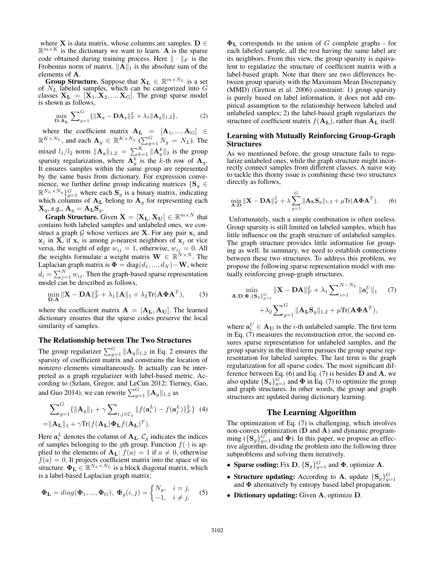where X is data matrix, whose columns are samples. D  $\in$  $\mathbb{R}^{m \times K}$  is the dictionary we want to learn. A is the sparse code obtained during training process. Here  $\|\cdot\|_F$  is the Frobenius norm of matrix.  $\|\mathbf{A}\|_1$  is the absolute sum of the elements of A.

**Group Structure.** Suppose that  $X_L \in \mathbb{R}^{m \times N_L}$  is a set of  $N_L$  labeled samples, which can be categorized into  $G$ classes  $X_L = [X_1, X_2, ..., X_G]$ . The group sparse model is shown as follows,

$$
\min_{\mathbf{D}, \mathbf{A}_{\mathbf{L}}} \sum_{g=1}^{G} \{ ||\mathbf{X}_{g} - \mathbf{D} \mathbf{A}_{g}||_{F}^{2} + \lambda_{1} ||\mathbf{A}_{g}||_{1,2} \},
$$
 (2)

where the coefficient matrix  $A_L = [A_1, ..., A_G] \in$  $\mathbb{R}^{K \times N_L}$ , and each  $\mathbf{A}_g \in \mathbb{R}^{K \times N_g}$  ( $\sum_{g=1}^{G} N_g = N_L$ ). The mixed  $l_1/l_2$  norm  $\|\mathbf{A}_g\|_{1,2} = \sum_{k=1}^K \|\mathbf{A}_g^k\|_2$  is the group sparsity regularization, where  $A_g^k$  is the k-th row of  $A_g$ . It ensures samples within the same group are represented by the same basis from dictionary. For expression convenience, we further define group indicating matrices  $\{S_q \in$  $\mathbb{R}^{N_L \times N_g}$   $G = 1$  where each  $S_g$  is a binary matrix, indicating which columns of  $A_L$  belong to  $A_g$  for representing each  $\mathbf{X}_g$ , e.g.,  $\mathbf{A}_g = \mathbf{A}_\mathbf{L} \mathbf{S}_g$ .

**Graph Structure.** Given  $X = [X_L, X_U] \in \mathbb{R}^{m \times N}$  that contains both labeled samples and unlabeled ones, we construct a graph G whose vertices are **X**. For any pair  $x_i$  and  $x_j$  in **X**, if  $x_i$  is among *p*-nearest neighbors of  $x_j$  or vice versa, the weight of edge  $w_{ij} = 1$ , otherwise,  $w_{ij} = 0$ . All the weights formulate a weight matrix  $\mathbf{W} \in \mathbb{R}^{N \times N}$ . The Laplacian graph matrix is  $\mathbf{\Phi} = \text{diag}(d_1, ..., d_N) - \mathbf{W}$ , where  $d_i = \sum_{j=1}^{N} w_{ij}$ . Then the graph-based sparse representation model can be described as follows,

$$
\min_{\mathbf{D}, \mathbf{A}} \|\mathbf{X} - \mathbf{D}\mathbf{A}\|_F^2 + \lambda_1 \|\mathbf{A}\|_1 + \lambda_2 \text{Tr}(\mathbf{A} \boldsymbol{\Phi} \mathbf{A}^T), \tag{3}
$$

where the coefficient matrix  $\mathbf{A} = [\mathbf{A}_{\mathbf{L}}, \mathbf{A}_{\mathbf{U}}]$ . The learned dictionary ensures that the sparse codes preserve the local similarity of samples.

## The Relationship between The Two Structures

The group regularizer  $\sum_{g=1}^{G} ||\mathbf{A}_g||_{1,2}$  in Eq. 2 ensures the sparsity of coefficient matrix and constrains the location of nonzero elements simultaneously. It actually can be interpreted as a graph regularizer with label-based metric. According to (Szlam, Gregor, and LeCun 2012; Tierney, Gao, and Guo 2014), we can rewrite  $\sum_{g=1}^{G} ||\mathbf{A}_g||_{1,2}$  as

$$
\sum_{g=1}^{G} {\{\| \mathbf{A}_g \|_1 + \gamma \sum_{i,j \in C_g} \| f(\mathbf{a}_i^L) - f(\mathbf{a}_j^L) \|_F^2\}} \quad (4)
$$
  
= 
$$
\| \mathbf{A}_\mathbf{L} \|_1 + \gamma \text{Tr}(f(\mathbf{A}_\mathbf{L}) \Phi_\mathbf{L} f(\mathbf{A}_\mathbf{L})^T).
$$

Here  $a_i^L$  denotes the column of  $A_L$ .  $C_g$  indicates the indices of samples belonging to the gth group. Function  $f(\cdot)$  is applied to the elements of  $\mathbf{A}_{\mathbf{L}}$ :  $f(a) = 1$  if  $a \neq 0$ , otherwise  $f(a) = 0$ . It projects coefficient matrix into the space of its structure.  $\mathbf{\Phi}_{\mathbf{L}} \in \mathbb{R}^{N_L \times N_L}$  is a block diagonal matrix, which is a label-based Laplacian graph matrix:

$$
\mathbf{\Phi_L} = diag(\mathbf{\Phi_1}, ..., \mathbf{\Phi_G}), \mathbf{\Phi}_g(i,j) = \begin{cases} N_g, & i = j, \\ -1, & i \neq j. \end{cases} \tag{5}
$$

 $\Phi_{\text{L}}$  corresponds to the union of G complete graphs - for each labeled sample, all the rest having the same label are its neighbors. From this view, the group sparsity is equivalent to regularize the structure of coefficient matrix with a label-based graph. Note that there are two differences between group sparsity with the Maximum Mean Discrepancy (MMD) (Gretton et al. 2006) constraint: 1) group sparsity is purely based on label information, it does not add empirical assumption to the relationship between labeled and unlabeled samples; 2) the label-based graph regularizes the structure of coefficient matrix  $f(\mathbf{A}_{\mathbf{L}})$ , rather than  $\mathbf{A}_{\mathbf{L}}$  itself.

## Learning with Mutually Reinforcing Group-Graph **Structures**

As we mentioned before, the group structure fails to regularize unlabeled ones, while the graph structure might incorrectly connect samples from different classes. A naive way to tackle this thorny issue is combining these two structures directly as follows,

$$
\min_{\mathbf{A}, \mathbf{D}} \|\mathbf{X} - \mathbf{D}\mathbf{A}\|_F^2 + \lambda \sum_{g=1}^G \|\mathbf{A}_{\mathbf{L}} \mathbf{S}_g\|_{1,2} + \mu \text{Tr}(\mathbf{A} \mathbf{\Phi} \mathbf{A}^T). \tag{6}
$$

Unfortunately, such a simple combination is often useless. Group sparsity is still limited on labeled samples, which has little influence on the graph structure of unlabeled samples. The graph structure provides little information for grouping as well. In summary, we need to establish connections between these two structures. To address this problem, we propose the following sparse representation model with mutually reinforcing group-graph structures.

$$
\min_{\mathbf{A}, \mathbf{D}, \mathbf{\Phi}, \{\mathbf{S}_g\}_{g=1}^G} \|\mathbf{X} - \mathbf{D}\mathbf{A}\|_F^2 + \lambda_1 \sum_{i=1}^{N-N_L} \|\mathbf{a}_i^U\|_1 \qquad (7)
$$

$$
+ \lambda_2 \sum_{g=1}^G \|\mathbf{A}_{\mathbf{L}} \mathbf{S}_g\|_{1,2} + \mu \text{Tr}(\mathbf{A} \mathbf{\Phi} \mathbf{A}^T),
$$

where  $\mathbf{a}_i^U \in \mathbf{A_U}$  is the *i*-th unlabeled sample. The first term in Eq.  $(7)$  measures the reconstruction error, the second ensures sparse representation for unlabeled samples, and the group sparsity in the third term pursues the group sparse representation for labeled samples. The last term is the graph regularization for all sparse codes. The most significant difference between Eq. (6) and Eq. (7) is besides  **and**  $**A**$ **, we** also update  $\{S_g\}_{g=1}^G$  and  $\Phi$  in Eq. (7) to optimize the group and graph structures. In other words, the group and graph structures are updated during dictionary learning.

### The Learning Algorithm

The optimization of Eq. (7) is challenging, which involves non-convex optimization (D and A) and dynamic programming  $(\{S_g\}_{g=1}^G$  and  $\Phi)$ . In this paper, we propose an effective algorithm, dividing the problem into the following three subproblems and solving them iteratively.

- Sparse coding: Fix D,  $\{S_g\}_{g=1}^G$  and  $\Phi$ , optimize A.
- Structure updating: According to A, update  $\{S_g\}_{g=1}^G$ and  $\Phi$  alternatively by entropy based label propagation.
- Dictionary updating: Given A, optimize D.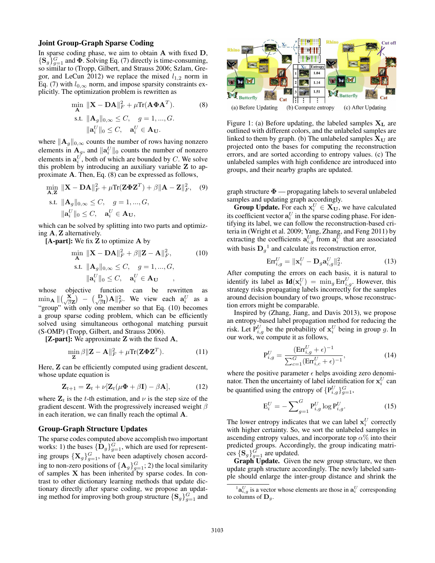### Joint Group-Graph Sparse Coding

In sparse coding phase, we aim to obtain  $A$  with fixed  $D$ ,  $\{S_g\}_{g=1}^G$  and  $\Phi$ . Solving Eq. (7) directly is time-consuming, so similar to (Tropp, Gilbert, and Strauss 2006; Szlam, Gregor, and LeCun 2012) we replace the mixed  $l_{1,2}$  norm in Eq. (7) with  $l_{0,\infty}$  norm, and impose sparsity constraints explicitly. The optimization problem is rewritten as

$$
\min_{\mathbf{A}} \|\mathbf{X} - \mathbf{D}\mathbf{A}\|_{F}^{2} + \mu \text{Tr}(\mathbf{A}\mathbf{\Phi}\mathbf{A}^{T}).
$$
\n
$$
\text{s.t. } \|\mathbf{A}_{g}\|_{0,\infty} \leq C, \quad g = 1, ..., G.
$$
\n
$$
\|\mathbf{a}_{i}^{U}\|_{0} \leq C, \quad \mathbf{a}_{i}^{U} \in \mathbf{A}_{\mathbf{U}}.
$$
\n
$$
(8)
$$

where  $\|\mathbf{A}_{g}\|_{0,\infty}$  counts the number of rows having nonzero elements in  $\mathbf{A}_g$ , and  $\|\mathbf{a}_i^U\|_0$  counts the number of nonzero elements in  $a_i^U$ , both of which are bounded by C. We solve this problem by introducing an auxiliary variable Z to approximate A. Then, Eq. (8) can be expressed as follows,

$$
\min_{\mathbf{A}, \mathbf{Z}} \|\mathbf{X} - \mathbf{D}\mathbf{A}\|_F^2 + \mu \text{Tr}(\mathbf{Z} \mathbf{\Phi} \mathbf{Z}^T) + \beta \|\mathbf{A} - \mathbf{Z}\|_F^2, \quad (9)
$$
\ns.t.

\n
$$
\|\mathbf{A}_g\|_{0,\infty} \leq C, \quad g = 1, \dots, G,
$$
\n
$$
\|\mathbf{a}_i^U\|_0 \leq C, \quad \mathbf{a}_i^U \in \mathbf{A}_\mathbf{U},
$$

which can be solved by splitting into two parts and optimizing A, Z alternatively.

 $[A-part]$ : We fix  $Z$  to optimize  $A$  by

$$
\min_{\mathbf{A}} \|\mathbf{X} - \mathbf{D}\mathbf{A}\|_{F}^{2} + \beta \|\mathbf{Z} - \mathbf{A}\|_{F}^{2},
$$
\n
$$
\text{s.t. } \|\mathbf{A}_{g}\|_{0,\infty} \leq C, \quad g = 1, ..., G,
$$
\n
$$
\|\mathbf{a}_{i}^{U}\|_{0} \leq C, \quad \mathbf{a}_{i}^{U} \in \mathbf{A}_{\mathbf{U}} ,
$$
\n(10)

whose objective function can be rewritten as  $\min_{\mathbf{A}} || \begin{pmatrix} \mathbf{X} \\ \sqrt{\beta} \mathbf{Z} \end{pmatrix} - \begin{pmatrix} \mathbf{D} \\ \sqrt{\beta} \mathbf{I} \end{pmatrix} \mathbf{A} ||^2_F.$  We view each  $\mathbf{a}_i^U$  as a "group" with only one member so that Eq. (10) becomes a group sparse coding problem, which can be efficiently solved using simultaneous orthogonal matching pursuit (S-OMP) (Tropp, Gilbert, and Strauss 2006).

 $[Z-part]$ : We approximate Z with the fixed  $A$ ,

$$
\min_{\mathbf{Z}} \beta \|\mathbf{Z} - \mathbf{A}\|_F^2 + \mu \text{Tr}(\mathbf{Z} \mathbf{\Phi} \mathbf{Z}^T). \tag{11}
$$

Here, **Z** can be efficiently computed using gradient descent, whose update equation is

$$
\mathbf{Z}_{t+1} = \mathbf{Z}_t + \nu[\mathbf{Z}_t(\mu\mathbf{\Phi} + \beta\mathbf{I}) - \beta\mathbf{A}], \tag{12}
$$

where  $\mathbf{Z}_t$  is the t-th estimation, and  $\nu$  is the step size of the gradient descent. With the progressively increased weight  $\beta$ in each iteration, we can finally reach the optimal A.

## Group-Graph Structure Updates

The sparse codes computed above accomplish two important works: 1) the bases  $\{\bar{\mathbf{D}}_g\}_{g=1}^G$ , which are used for representing groups  $\{X_g\}_{g=1}^G$ , have been adaptively chosen according to non-zero positions of  ${A_g}_{g=1}^G$ ; 2) the local similarity of samples  $X$  has been inherited by sparse codes. In contrast to other dictionary learning methods that update dictionary directly after sparse coding, we propose an updating method for improving both group structure  $\{S_g\}_{g=1}^G$  and



Figure 1: (a) Before updating, the labeled samples  $X_L$  are outlined with different colors, and the unlabeled samples are linked to them by graph. (b) The unlabeled samples  $X_U$  are projected onto the bases for computing the reconstruction errors, and are sorted according to entropy values. (c) The unlabeled samples with high confidence are introduced into groups, and their nearby graphs are updated.

graph structure  $\Phi$  — propagating labels to several unlabeled samples and updating graph accordingly.

**Group Update.** For each  $x_i^U \in X_U$ , we have calculated its coefficient vector  $\mathbf{a}_i^U$  in the sparse coding phase. For identifying its label, we can follow the reconstruction-based criteria in (Wright et al. 2009; Yang, Zhang, and Feng 2011) by extracting the coefficients  $\mathbf{a}_{i,g}^U$  from  $\mathbf{a}_i^U$  that are associated with basis  $D_g^{-1}$  and calculate its reconstruction error,

$$
\operatorname{Err}_{i,g}^U = \|\mathbf{x}_i^U - \mathbf{D}_g \mathbf{a}_{i,g}^U\|_2^2.
$$
 (13)

After computing the errors on each basis, it is natural to identify its label as  $\mathbf{Id}(\mathbf{x}_i^U) = \min_g \mathrm{Err}_{i,g}^U$ . However, this strategy risks propagating labels incorrectly for the samples around decision boundary of two groups, whose reconstruction errors might be comparable.

Inspired by (Zhang, Jiang, and Davis 2013), we propose an entropy-based label propagation method for reducing the risk. Let  $P_{i,g}^U$  be the probability of  $x_i^U$  being in group g. In our work, we compute it as follows,

$$
P_{i,g}^U = \frac{(Err_{i,g}^U + \epsilon)^{-1}}{\sum_{c=1}^G (Err_{i,c}^U + \epsilon)^{-1}},
$$
\n(14)

where the positive parameter  $\epsilon$  helps avoiding zero denominator. Then the uncertainty of label identification for  $\mathbf{x}_i^U$  can be quantified using the entropy of  $\{P_{i,g}^U\}_{g=1}^G$ ,

$$
E_i^U = -\sum_{g=1}^G P_{i,g}^U \log P_{i,g}^U.
$$
 (15)

The lower entropy indicates that we can label  $\mathbf{x}_i^U$  correctly with higher certainty. So, we sort the unlabeled samples in ascending entropy values, and incorporate top  $\alpha$ % into their predicted groups. Accordingly, the group indicating matrices  $\{S_g\}_{g=1}^G$  are updated.

Graph Update. Given the new group structure, we then update graph structure accordingly. The newly labeled sample should enlarge the inter-group distance and shrink the

 ${}^{1}$ **a** ${}^{U}_{i,g}$  is a vector whose elements are those in  $\mathbf{a}_{i}^{U}$  corresponding to columns of  $\mathbf{D}_q$ .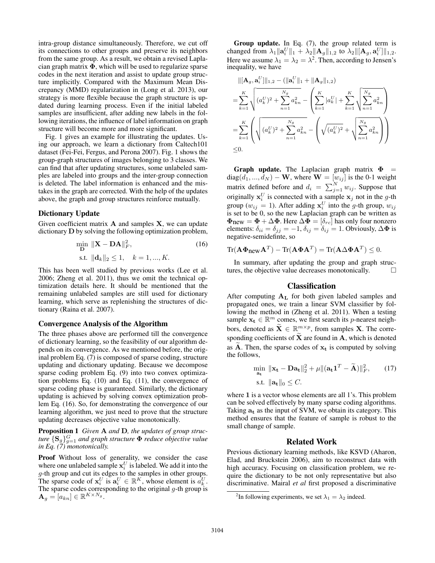intra-group distance simultaneously. Therefore, we cut off its connections to other groups and preserve its neighbors from the same group. As a result, we obtain a revised Laplacian graph matrix  $\Phi$ , which will be used to regularize sparse codes in the next iteration and assist to update group structure implicitly. Compared with the Maximum Mean Discrepancy (MMD) regularization in (Long et al. 2013), our strategy is more flexible because the graph structure is updated during learning process. Even if the initial labeled samples are insufficient, after adding new labels in the following iterations, the influence of label information on graph structure will become more and more significant.

Fig. 1 gives an example for illustrating the updates. Using our approach, we learn a dictionary from Caltech101 dataset (Fei-Fei, Fergus, and Perona 2007). Fig. 1 shows the group-graph structures of images belonging to 3 classes. We can find that after updating structures, some unlabeled samples are labeled into groups and the inter-group connection is deleted. The label information is enhanced and the mistakes in the graph are corrected. With the help of the updates above, the graph and group structures reinforce mutually.

#### Dictionary Update

Given coefficient matrix  $A$  and samples  $X$ , we can update dictionary D by solving the following optimization problem,

$$
\min_{\mathbf{D}} \|\mathbf{X} - \mathbf{D}\mathbf{A}\|_{F}^{2},
$$
\n
$$
\text{s.t. } \|\mathbf{d}_{k}\|_{2} \leq 1, \quad k = 1, ..., K.
$$
\n(16)

This has been well studied by previous works (Lee et al. 2006; Zheng et al. 2011), thus we omit the technical optimization details here. It should be mentioned that the remaining unlabeled samples are still used for dictionary learning, which serve as replenishing the structures of dictionary (Raina et al. 2007).

## Convergence Analysis of the Algorithm

The three phases above are performed till the convergence of dictionary learning, so the feasibility of our algorithm depends on its convergence. As we mentioned before, the original problem Eq. (7) is composed of sparse coding, structure updating and dictionary updating. Because we decompose sparse coding problem Eq. (9) into two convex optimization problems Eq. (10) and Eq. (11), the convergence of sparse coding phase is guaranteed. Similarly, the dictionary updating is achieved by solving convex optimization problem Eq. (16). So, for demonstrating the convergence of our learning algorithm, we just need to prove that the structure updating decreases objective value monotonically.

Proposition 1 *Given* A *and* D*, the updates of group struc* $t$ ure  $\{ {\bf S}_g \}_{g=1}^G$  and graph structure  $\pmb{\Phi}$  reduce objective value *in Eq. (7) monotonically.*

Proof Without loss of generality, we consider the case where one unlabeled sample  $\mathbf{x}_i^U$  is labeled. We add it into the g-th group and cut its edges to the samples in other groups. The sparse code of  $x_i^U$  is  $a_i^U \in \mathbb{R}^K$ , whose element is  $a_k^U$ . The sparse codes corresponding to the original  $g$ -th group is  $\mathbf{A}_g = [a_{kn}] \in \mathbb{R}^{K \times N_g}.$ 

Group update. In Eq. (7), the group related term is changed from  $\lambda_1 \|\mathbf{a}_i^U\|_1 + \lambda_2 \|\mathbf{A}_g\|_{1,2}$  to  $\lambda_2 \|[ \mathbf{A}_g, \mathbf{a}_i^U] \|_{1,2}$ . Here we assume  $\lambda_1 = \lambda_2 = \lambda^2$ . Then, according to Jensen's inequality, we have

$$
\begin{split} &\|[\mathbf{A}_{g}, \mathbf{a}_{i}^{U}]\|_{1,2} - (\|\mathbf{a}_{i}^{U}\|_{1} + \|\mathbf{A}_{g}\|_{1,2}) \\ & = \sum_{k=1}^{K} \sqrt{(a_{k}^{U})^{2} + \sum_{n=1}^{N_{g}} a_{kn}^{2}} - \left(\sum_{k=1}^{K} |a_{k}^{U}| + \sum_{k=1}^{K} \sqrt{\sum_{n=1}^{N_{g}} a_{kn}^{2}}\right) \\ & = \sum_{k=1}^{K} \left(\sqrt{(a_{k}^{U})^{2} + \sum_{n=1}^{N_{g}} a_{kn}^{2}} - \left(\sqrt{(a_{k}^{U})^{2}} + \sqrt{\sum_{n=1}^{N_{g}} a_{kn}^{2}}\right)\right) \\ & \leq 0. \end{split}
$$

Graph update. The Laplacian graph matrix  $\Phi$  = diag $(d_1, ..., d_N) - \mathbf{W}$ , where  $\mathbf{W} = [w_{ij}]$  is the 0-1 weight matrix defined before and  $d_i = \sum_{j=1}^{N} w_{ij}$ . Suppose that originally  $x_i^U$  is connected with a sample  $x_j$  not in the g-th group ( $w_{ij} = 1$ ). After adding  $\mathbf{x}_i^U$  into the g-th group,  $w_{ij}$ is set to be 0, so the new Laplacian graph can be written as  $\mathbf{\Phi}_{\text{new}} = \mathbf{\Phi} + \Delta \mathbf{\Phi}$ . Here  $\Delta \mathbf{\Phi} = [\delta_{rc}]$  has only four nonzero elements:  $\delta_{ii} = \delta_{jj} = -1$ ,  $\delta_{ij} = \delta_{ij} = 1$ . Obviously,  $\Delta \Phi$  is negative-semidefinte, so

$$
\operatorname{Tr}(\mathbf{A}\Phi_{\text{new}}\mathbf{A}^T) - \operatorname{Tr}(\mathbf{A}\Phi\mathbf{A}^T) = \operatorname{Tr}(\mathbf{A}\Delta\Phi\mathbf{A}^T) \leq 0.
$$

In summary, after updating the group and graph structures, the objective value decreases monotonically.  $\Box$ 

## Classification

After computing  $A_L$  for both given labeled samples and propagated ones, we train a linear SVM classifier by following the method in (Zheng et al. 2011). When a testing sample  $\mathbf{x_t} \in \mathbb{R}^m$  comes, we first search its *p*-nearest neighbors, denoted as  $\widetilde{\mathbf{X}} \in \mathbb{R}^{m \times p}$ , from samples **X**. The corresponding coefficients of  $\widetilde{\mathbf{X}}$  are found in  $\mathbf{A}$ , which is denoted as A. Then, the sparse codes of  $x_t$  is computed by solving the follows,

$$
\min_{\mathbf{a_t}} \|\mathbf{x_t} - \mathbf{D}\mathbf{a_t}\|_2^2 + \mu \|(\mathbf{a_t}\mathbf{1}^T - \widetilde{\mathbf{A}})\|_F^2, \qquad (17)
$$
  
s.t.  $\|\mathbf{a_t}\|_0 \le C.$ 

where 1 is a vector whose elements are all 1's. This problem can be solved effectively by many sparse coding algorithms. Taking  $a_t$  as the input of SVM, we obtain its category. This method ensures that the feature of sample is robust to the small change of sample.

## Related Work

Previous dictionary learning methods, like KSVD (Aharon, Elad, and Bruckstein 2006), aim to reconstruct data with high accuracy. Focusing on classification problem, we require the dictionary to be not only representative but also discriminative. Mairal *et al* first proposed a discriminative

<sup>&</sup>lt;sup>2</sup>In following experiments, we set  $\lambda_1 = \lambda_2$  indeed.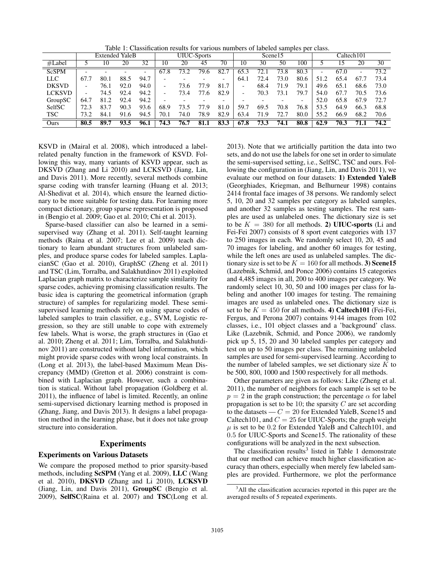Table 1: Classification results for various numbers of labeled samples per class.

|               | <b>Extended YaleB</b>    |      |      |      | <b>UIUC-Sports</b> |      |      |                          | Scene15 |      |      |      | Caltech101               |      |      |      |
|---------------|--------------------------|------|------|------|--------------------|------|------|--------------------------|---------|------|------|------|--------------------------|------|------|------|
| #Label        |                          | 10   | 20   | 32   | 10                 | 20   | 45   | 70                       | 10      | 30   | 50   | 100  |                          | 15   | 20   | 30   |
| <b>ScSPM</b>  |                          |      |      | -    | 67.8               | 73.2 | 79.6 | 82.7                     | 65.3    | 72.1 | 73.8 | 80.3 | $\overline{\phantom{0}}$ | 67.0 | -    | 73.2 |
| LLC           | 67.7                     | 80.1 | 88.5 | 94.7 |                    |      |      | $\overline{\phantom{0}}$ | 64.1    | 72.4 | 73.0 | 80.6 | 51.2                     | 65.4 | 67.7 | 73.4 |
| <b>DKSVD</b>  | $\overline{\phantom{0}}$ | 76.1 | 92.0 | 94.0 | -                  | 73.6 | 77.9 | 81.7                     | -       | 68.4 | 71.9 | 79.1 | 49.6                     | 65.1 | 68.6 | 73.0 |
| <b>LCKSVD</b> | $\overline{\phantom{0}}$ | 74.5 | 92.4 | 94.2 | -                  | 73.4 | 77.6 | 82.9                     | -       | 70.3 | 73.1 | 79.7 | 54.0                     | 67.7 | 70.5 | 73.6 |
| GroupSC       | 64.7                     | 81.2 | 92.4 | 94.2 |                    |      |      |                          |         |      |      | -    | 52.0                     | 65.8 | 67.9 | 72.7 |
| SelfSC        | 72.3                     | 83.7 | 90.3 | 93.6 | 68.9               | 73.5 | 77.9 | 81.0                     | 59.7    | 69.5 | 70.8 | 76.8 | 53.5                     | 64.9 | 66.3 | 68.8 |
| <b>TSC</b>    | 73.2                     | 84.1 | 91.6 | 94.5 | 70.1               | 74.0 | 78.9 | 82.9                     | 63.4    | 71.9 | 72.7 | 80.0 | 55.2                     | 66.9 | 68.2 | 70.6 |
| Ours          | 80.5                     | 89.7 | 93.5 | 96.1 | 74.3               | 76.7 | 81.1 | 83.3                     | 67.8    | 73.3 | 74.1 | 80.8 | 62.9                     | 70.3 | 71.1 | 74.2 |

KSVD in (Mairal et al. 2008), which introduced a labelrelated penalty function in the framework of KSVD. Following this way, many variants of KSVD appear, such as DKSVD (Zhang and Li 2010) and LCKSVD (Jiang, Lin, and Davis 2011). More recently, several methods combine sparse coding with transfer learning (Huang et al. 2013; Al-Shedivat et al. 2014), which ensure the learned dictionary to be more suitable for testing data. For learning more compact dictionary, group sparse representation is proposed in (Bengio et al. 2009; Gao et al. 2010; Chi et al. 2013).

Sparse-based classifier can also be learned in a semisupervised way (Zhang et al. 2011). Self-taught learning methods (Raina et al. 2007; Lee et al. 2009) teach dictionary to learn abundant structures from unlabeled samples, and produce sparse codes for labeled samples. LaplacianSC (Gao et al. 2010), GraphSC (Zheng et al. 2011) and TSC (Lim, Torralba, and Salakhutdinov 2011) exploited Laplacian graph matrix to characterize sample similarity for sparse codes, achieving promising classification results. The basic idea is capturing the geometrical information (graph structure) of samples for regularizing model. These semisupervised learning methods rely on using sparse codes of labeled samples to train classifier, e.g., SVM, Logistic regression, so they are still unable to cope with extremely few labels. What is worse, the graph structures in (Gao et al. 2010; Zheng et al. 2011; Lim, Torralba, and Salakhutdinov 2011) are constructed without label information, which might provide sparse codes with wrong local constraints. In (Long et al. 2013), the label-based Maximum Mean Discrepancy (MMD) (Gretton et al. 2006) constraint is combined with Laplacian graph. However, such a combination is statical. Without label propagation (Goldberg et al. 2011), the influence of label is limited. Recently, an online semi-supervised dictionary learning method is proposed in (Zhang, Jiang, and Davis 2013). It designs a label propagation method in the learning phase, but it does not take group structure into consideration.

## Experiments

### Experiments on Various Datasets

We compare the proposed method to prior sparsity-based methods, including ScSPM (Yang et al. 2009), LLC (Wang et al. 2010), DKSVD (Zhang and Li 2010), LCKSVD (Jiang, Lin, and Davis 2011), GroupSC (Bengio et al. 2009), SelfSC(Raina et al. 2007) and TSC(Long et al.

2013). Note that we artificially partition the data into two sets, and do not use the labels for one set in order to simulate the semi-supervised setting, i.e., SelfSC, TSC and ours. Following the configuration in (Jiang, Lin, and Davis 2011), we evaluate our method on four datasets: 1) Extended YaleB (Georghiades, Kriegman, and Belhurneur 1998) contains 2414 frontal face images of 38 persons. We randomly select 5, 10, 20 and 32 samples per category as labeled samples, and another 32 samples as testing samples. The rest samples are used as unlabeled ones. The dictionary size is set to be  $K = 380$  for all methods. 2) UIUC-sports (Li and Fei-Fei 2007) consists of 8 sport event categories with 137 to 250 images in each. We randomly select 10, 20, 45 and 70 images for labeling, and another 60 images for testing, while the left ones are used as unlabeled samples. The dictionary size is set to be  $K = 160$  for all methods. 3) Scene15 (Lazebnik, Schmid, and Ponce 2006) contains 15 categories and 4,485 images in all, 200 to 400 images per category. We randomly select 10, 30, 50 and 100 images per class for labeling and another 100 images for testing. The remaining images are used as unlabeled ones. The dictionary size is set to be  $K = 450$  for all methods. 4) Caltech101 (Fei-Fei, Fergus, and Perona 2007) contains 9144 images from 102 classes, i.e., 101 object classes and a 'background' class. Like (Lazebnik, Schmid, and Ponce 2006), we randomly pick up 5, 15, 20 and 30 labeled samples per category and test on up to 50 images per class. The remaining unlabeled samples are used for semi-supervised learning. According to the number of labeled samples, we set dictionary size  $K$  to be 500, 800, 1000 and 1500 respectively for all methods.

Other parameters are given as follows: Like (Zheng et al. 2011), the number of neighbors for each sample is set to be  $p = 2$  in the graph construction; the percentage  $\alpha$  for label propagation is set to be 10; the sparsity  $C$  are set according to the datasets  $-C = 20$  for Extended YaleB, Scene15 and Caltech101, and  $C = 25$  for UIUC-Sports; the graph weight  $\mu$  is set to be 0.2 for Extended YaleB and Caltech101, and 0.5 for UIUC-Sports and Scene15. The rationality of these configurations will be analyzed in the next subsection.

The classification results<sup>3</sup> listed in Table 1 demonstrate that our method can achieve much higher classification accuracy than others, especially when merely few labeled samples are provided. Furthermore, we plot the performance

<sup>&</sup>lt;sup>3</sup>All the classification accuracies reported in this paper are the averaged results of 5 repeated experiments.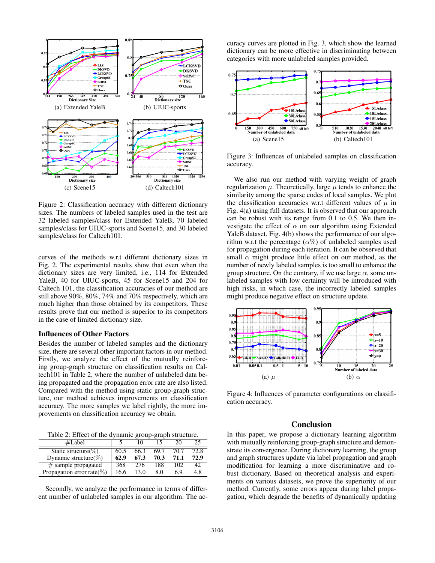

Figure 2: Classification accuracy with different dictionary sizes. The numbers of labeled samples used in the test are 32 labeled samples/class for Extended YaleB, 70 labeled samples/class for UIUC-sports and Scene15, and 30 labeled samples/class for Caltech101.

curves of the methods w.r.t different dictionary sizes in Fig. 2. The experimental results show that even when the dictionary sizes are very limited, i.e., 114 for Extended YaleB, 40 for UIUC-sports, 45 for Scene15 and 204 for Caltech 101, the classification accuracies of our method are still above 90%, 80%, 74% and 70% respectively, which are much higher than those obtained by its competitors. These results prove that our method is superior to its competitors in the case of limited dictionary size.

## Influences of Other Factors

Besides the number of labeled samples and the dictionary size, there are several other important factors in our method. Firstly, we analyze the effect of the mutually reinforcing group-graph structure on classification results on Caltech101 in Table 2, where the number of unlabeled data being propagated and the propagation error rate are also listed. Compared with the method using static group-graph structure, our method achieves improvements on classification accuracy. The more samples we label rightly, the more improvements on classification accuracy we obtain.

Table 2: Effect of the dynamic group-graph structure.

| #Label                         |      |      |      | 20   |      |
|--------------------------------|------|------|------|------|------|
| Static structure( $\%$ )       | 60.5 | 66.3 | 69.7 | 70.7 | 72.8 |
| Dynamic structure( $\%$ )      | 62.9 | 67.3 | 70.3 | 71.1 | 72.9 |
| $\#$ sample propagated         | 368  | 276  | 188  | 102  | 42   |
| Propagation error rate( $\%$ ) | 16.6 | 13 0 | 8.0  | 6.9  | 4.8  |

Secondly, we analyze the performance in terms of different number of unlabeled samples in our algorithm. The accuracy curves are plotted in Fig. 3, which show the learned dictionary can be more effective in discriminating between categories with more unlabeled samples provided.



Figure 3: Influences of unlabeled samples on classification accuracy.

We also run our method with varying weight of graph regularization  $\mu$ . Theoretically, large  $\mu$  tends to enhance the similarity among the sparse codes of local samples. We plot the classification accuracies w.r.t different values of  $\mu$  in Fig. 4(a) using full datasets. It is observed that our approach can be robust with its range from 0.1 to 0.5. We then investigate the effect of  $\alpha$  on our algorithm using Extended YaleB dataset. Fig. 4(b) shows the performance of our algorithm w.r.t the percentage  $(\alpha\%)$  of unlabeled samples used for propagation during each iteration. It can be observed that small  $\alpha$  might produce little effect on our method, as the number of newly labeled samples is too small to enhance the group structure. On the contrary, if we use large  $\alpha$ , some unlabeled samples with low certainty will be introduced with high risks, in which case, the incorrectly labeled samples might produce negative effect on structure update.



Figure 4: Influences of parameter configurations on classification accuracy.

## Conclusion

In this paper, we propose a dictionary learning algorithm with mutually reinforcing group-graph structure and demonstrate its convergence. During dictionary learning, the group and graph structures update via label propagation and graph modification for learning a more discriminative and robust dictionary. Based on theoretical analysis and experiments on various datasets, we prove the superiority of our method. Currently, some errors appear during label propagation, which degrade the benefits of dynamically updating